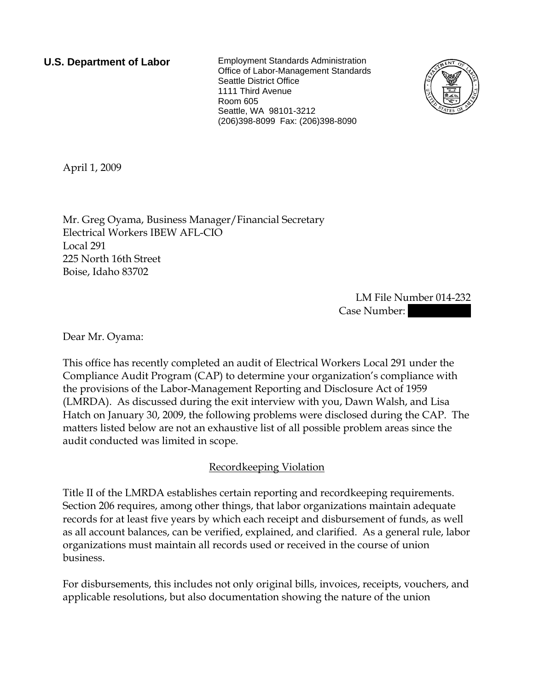**U.S. Department of Labor** Employment Standards Administration Office of Labor-Management Standards Seattle District Office 1111 Third Avenue Room 605 Seattle, WA 98101-3212 (206)398-8099 Fax: (206)398-8090



April 1, 2009

Mr. Greg Oyama, Business Manager/Financial Secretary Electrical Workers IBEW AFL-CIO Local 291 225 North 16th Street Boise, Idaho 83702

> LM File Number 014-232 Case Number:

Dear Mr. Oyama:

This office has recently completed an audit of Electrical Workers Local 291 under the Compliance Audit Program (CAP) to determine your organization's compliance with the provisions of the Labor-Management Reporting and Disclosure Act of 1959 (LMRDA). As discussed during the exit interview with you, Dawn Walsh, and Lisa Hatch on January 30, 2009, the following problems were disclosed during the CAP. The matters listed below are not an exhaustive list of all possible problem areas since the audit conducted was limited in scope.

### Recordkeeping Violation

Title II of the LMRDA establishes certain reporting and recordkeeping requirements. Section 206 requires, among other things, that labor organizations maintain adequate records for at least five years by which each receipt and disbursement of funds, as well as all account balances, can be verified, explained, and clarified. As a general rule, labor organizations must maintain all records used or received in the course of union business.

For disbursements, this includes not only original bills, invoices, receipts, vouchers, and applicable resolutions, but also documentation showing the nature of the union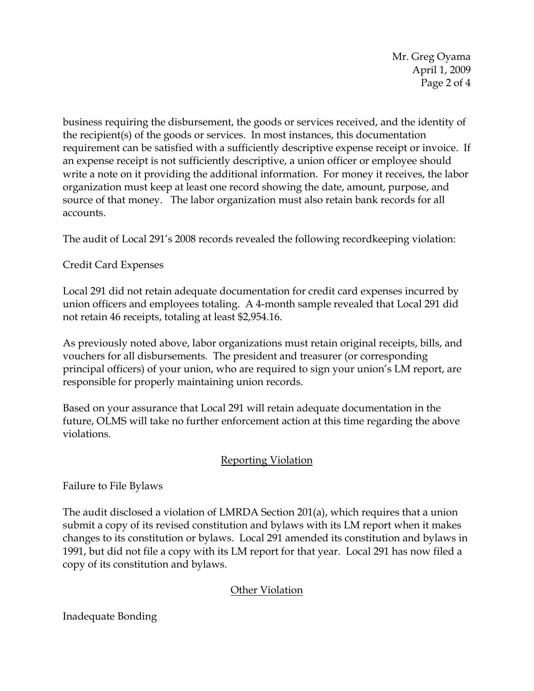Mr. Greg Oyama April 1, 2009 Page 2 of 4

business requiring the disbursement, the goods or services received, and the identity of the recipient(s) of the goods or services. In most instances, this documentation requirement can be satisfied with a sufficiently descriptive expense receipt or invoice. If an expense receipt is not sufficiently descriptive, a union officer or employee should write a note on it providing the additional information. For money it receives, the labor organization must keep at least one record showing the date, amount, purpose, and source of that money. The labor organization must also retain bank records for all accounts.

The audit of Local 291's 2008 records revealed the following recordkeeping violation:

## Credit Card Expenses

Local 291 did not retain adequate documentation for credit card expenses incurred by union officers and employees totaling. A 4-month sample revealed that Local 291 did not retain 46 receipts, totaling at least \$2,954.16.

As previously noted above, labor organizations must retain original receipts, bills, and vouchers for all disbursements. The president and treasurer (or corresponding principal officers) of your union, who are required to sign your union's LM report, are responsible for properly maintaining union records.

Based on your assurance that Local 291 will retain adequate documentation in the future, OLMS will take no further enforcement action at this time regarding the above violations.

### Reporting Violation

Failure to File Bylaws

The audit disclosed a violation of LMRDA Section 201(a), which requires that a union submit a copy of its revised constitution and bylaws with its LM report when it makes changes to its constitution or bylaws. Local 291 amended its constitution and bylaws in 1991, but did not file a copy with its LM report for that year. Local 291 has now filed a copy of its constitution and bylaws.

# Other Violation

### Inadequate Bonding